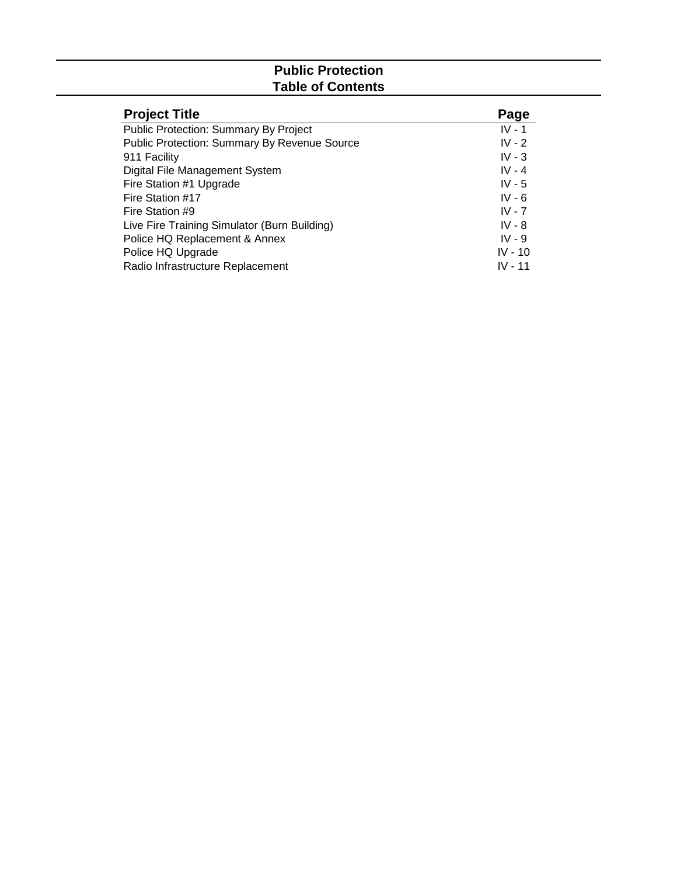# **Public Protection Table of Contents**

| <b>Project Title</b>                                | Page      |
|-----------------------------------------------------|-----------|
| <b>Public Protection: Summary By Project</b>        | $IV - 1$  |
| <b>Public Protection: Summary By Revenue Source</b> | $IV - 2$  |
| 911 Facility                                        | $IV - 3$  |
| Digital File Management System                      | $IV - 4$  |
| Fire Station #1 Upgrade                             | $IV - 5$  |
| Fire Station #17                                    | $IV - 6$  |
| Fire Station #9                                     | $IV - 7$  |
| Live Fire Training Simulator (Burn Building)        | $IV - 8$  |
| Police HQ Replacement & Annex                       | $IV - 9$  |
| Police HQ Upgrade                                   | $IV - 10$ |
| Radio Infrastructure Replacement                    | $IV - 11$ |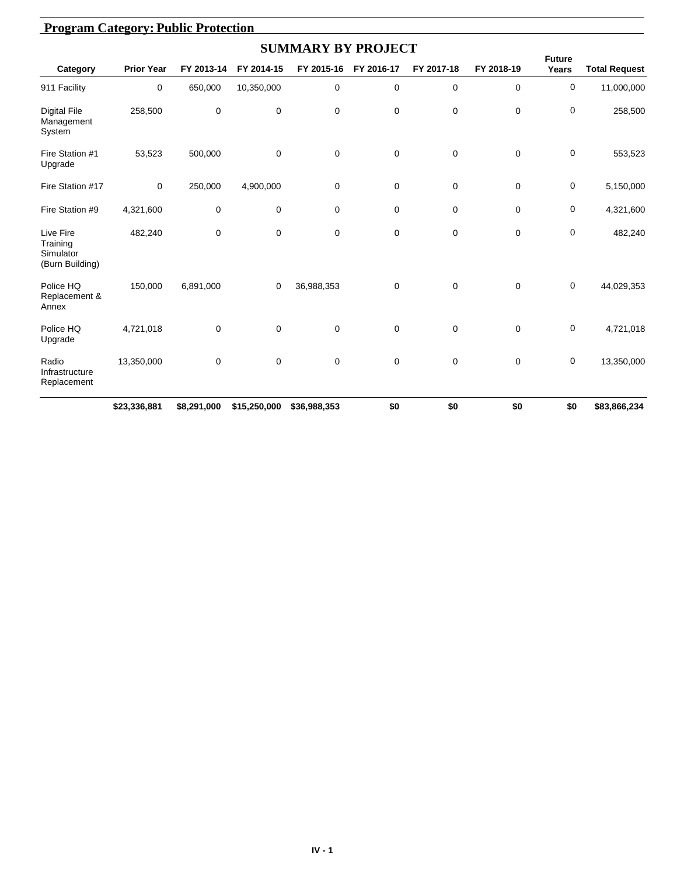|                                                       |                   |             |              | <b>SUMMARY BY PROJECT</b> |             |            |             |                        |                      |
|-------------------------------------------------------|-------------------|-------------|--------------|---------------------------|-------------|------------|-------------|------------------------|----------------------|
| Category                                              | <b>Prior Year</b> | FY 2013-14  | FY 2014-15   | FY 2015-16                | FY 2016-17  | FY 2017-18 | FY 2018-19  | <b>Future</b><br>Years | <b>Total Request</b> |
| 911 Facility                                          | $\mathbf 0$       | 650,000     | 10,350,000   | $\mathbf 0$               | $\mathbf 0$ | 0          | $\mathbf 0$ | $\mathbf 0$            | 11,000,000           |
| <b>Digital File</b><br>Management<br>System           | 258,500           | 0           | 0            | 0                         | 0           | 0          | $\mathbf 0$ | 0                      | 258,500              |
| Fire Station #1<br>Upgrade                            | 53,523            | 500,000     | 0            | 0                         | $\mathbf 0$ | 0          | $\mathbf 0$ | 0                      | 553,523              |
| Fire Station #17                                      | $\mathbf 0$       | 250,000     | 4,900,000    | 0                         | 0           | 0          | $\mathbf 0$ | $\mathbf 0$            | 5,150,000            |
| Fire Station #9                                       | 4,321,600         | 0           | 0            | 0                         | 0           | 0          | 0           | $\mathbf 0$            | 4,321,600            |
| Live Fire<br>Training<br>Simulator<br>(Burn Building) | 482,240           | $\mathbf 0$ | 0            | 0                         | 0           | 0          | $\mathbf 0$ | $\mathbf 0$            | 482,240              |
| Police HQ<br>Replacement &<br>Annex                   | 150,000           | 6,891,000   | 0            | 36,988,353                | 0           | 0          | $\mathbf 0$ | 0                      | 44,029,353           |
| Police HQ<br>Upgrade                                  | 4,721,018         | 0           | 0            | 0                         | 0           | 0          | $\mathbf 0$ | $\mathbf 0$            | 4,721,018            |
| Radio<br>Infrastructure<br>Replacement                | 13,350,000        | 0           | 0            | 0                         | 0           | 0          | $\mathbf 0$ | 0                      | 13,350,000           |
|                                                       | \$23,336,881      | \$8,291,000 | \$15,250,000 | \$36,988,353              | \$0         | \$0        | \$0         | \$0                    | \$83,866,234         |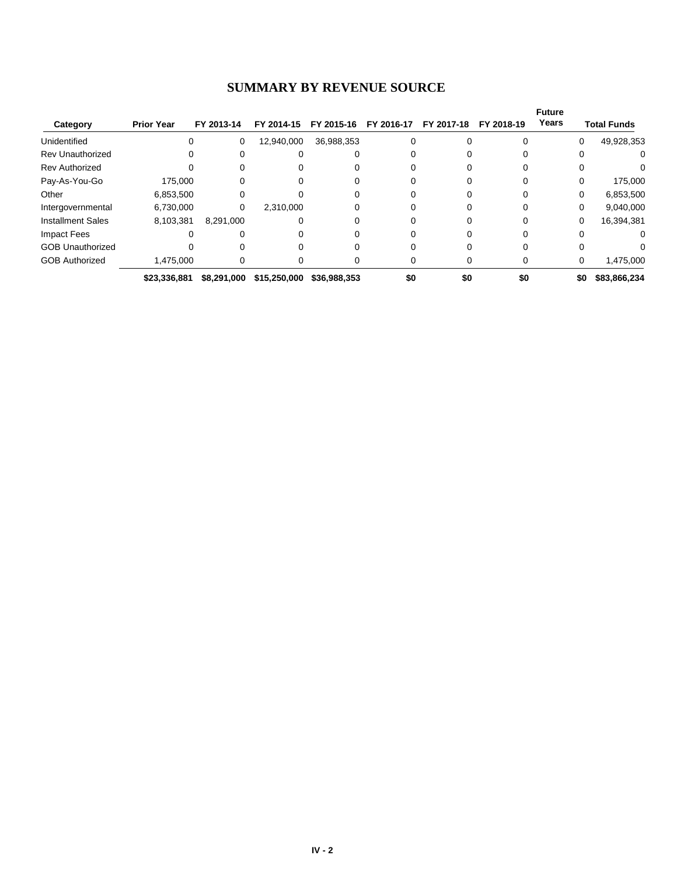# **SUMMARY BY REVENUE SOURCE**

|                          |                   |             |              |              |            |            |              | <b>Future</b> |                    |
|--------------------------|-------------------|-------------|--------------|--------------|------------|------------|--------------|---------------|--------------------|
| Category                 | <b>Prior Year</b> | FY 2013-14  | FY 2014-15   | FY 2015-16   | FY 2016-17 | FY 2017-18 | FY 2018-19   | Years         | <b>Total Funds</b> |
| Unidentified             | $\Omega$          | 0           | 12,940,000   | 36,988,353   |            |            | $\Omega$     | 0             | 49,928,353         |
| <b>Rev Unauthorized</b>  |                   |             |              |              |            |            |              |               | 0                  |
| <b>Rev Authorized</b>    |                   |             |              |              |            |            |              |               |                    |
| Pay-As-You-Go            | 175,000           |             |              |              |            |            |              | 0             | 175,000            |
| Other                    | 6,853,500         | 0           |              |              |            |            | $\Omega$     | 0             | 6,853,500          |
| Intergovernmental        | 6,730,000         | 0           | 2,310,000    |              |            |            |              | 0             | 9,040,000          |
| <b>Installment Sales</b> | 8,103,381         | 8,291,000   |              |              |            |            |              | 0             | 16,394,381         |
| Impact Fees              |                   |             |              |              |            |            |              |               | 0                  |
| <b>GOB Unauthorized</b>  |                   |             |              |              |            |            | <sup>0</sup> |               | 0                  |
| <b>GOB Authorized</b>    | 1,475,000         |             |              |              |            |            | 0            | 0             | 1,475,000          |
|                          | \$23,336,881      | \$8,291,000 | \$15,250,000 | \$36,988,353 | \$0        | \$0        | \$0          | \$0           | \$83,866,234       |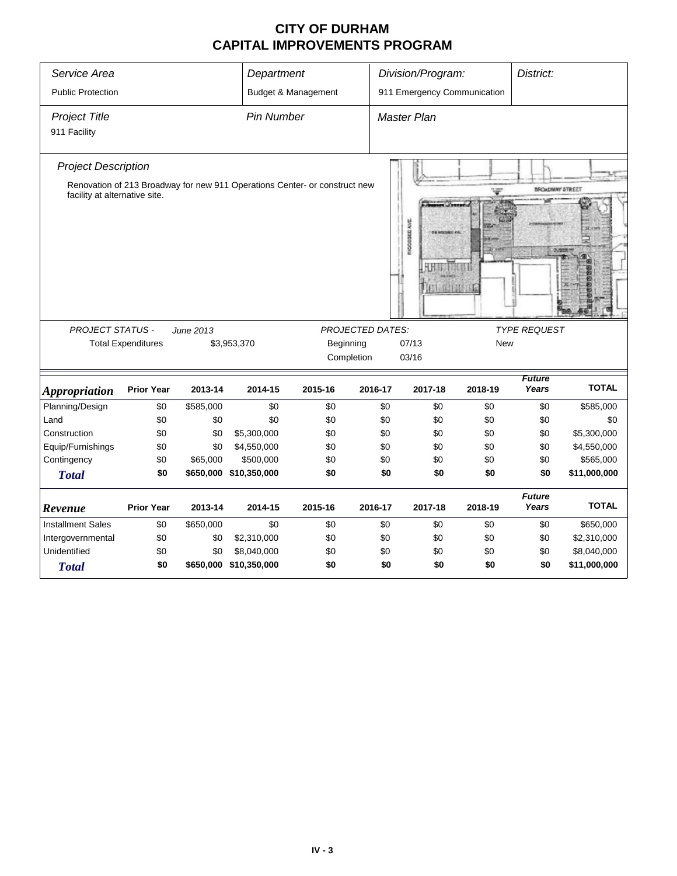| Service Area                         |                           |           | Department             |                                                                            |                             | Division/Program:                               |            | District:              |              |
|--------------------------------------|---------------------------|-----------|------------------------|----------------------------------------------------------------------------|-----------------------------|-------------------------------------------------|------------|------------------------|--------------|
| <b>Public Protection</b>             |                           |           |                        | Budget & Management                                                        | 911 Emergency Communication |                                                 |            |                        |              |
| <b>Project Title</b><br>911 Facility |                           |           | <b>Pin Number</b>      |                                                                            |                             | <b>Master Plan</b>                              |            |                        |              |
| <b>Project Description</b>           |                           |           |                        |                                                                            |                             |                                                 |            |                        |              |
|                                      |                           |           |                        | Renovation of 213 Broadway for new 911 Operations Center- or construct new |                             |                                                 |            | <b>BROADWAY STREET</b> |              |
| facility at alternative site.        |                           |           |                        |                                                                            |                             | $\sim$<br><b>NOCODEE AVE</b><br><b>RIGHTHEF</b> |            | 3,58                   |              |
| <b>PROJECT STATUS -</b>              |                           | June 2013 |                        |                                                                            | <b>PROJECTED DATES:</b>     |                                                 |            | <b>TYPE REQUEST</b>    |              |
|                                      | <b>Total Expenditures</b> |           | \$3,953,370            | Beginning<br>Completion                                                    |                             | 07/13<br>03/16                                  | <b>New</b> |                        |              |
| <b>Appropriation</b>                 | <b>Prior Year</b>         | 2013-14   | 2014-15                | 2015-16                                                                    | 2016-17                     | 2017-18                                         | 2018-19    | <b>Future</b><br>Years | <b>TOTAL</b> |
| Planning/Design                      | \$0                       | \$585,000 | \$0                    | \$0                                                                        | \$0                         | \$0                                             | \$0        | \$0                    | \$585,000    |
| Land                                 | \$0                       | \$0       | \$0                    | \$0                                                                        | \$0                         | \$0                                             | \$0        | \$0                    | \$0          |
| Construction                         | \$0                       | \$0       | \$5,300,000            | \$0                                                                        | \$0                         | \$0                                             | \$0        | \$0                    | \$5,300,000  |
| Equip/Furnishings                    | \$0                       | \$0       | \$4,550,000            | \$0                                                                        | \$0                         | \$0                                             | \$0        | \$0                    | \$4,550,000  |
| Contingency                          | \$0                       | \$65,000  | \$500,000              | \$0                                                                        | \$0                         | \$0                                             | \$0        | \$0                    | \$565,000    |
| <b>Total</b>                         | \$0                       |           | \$650,000 \$10,350,000 | \$0                                                                        | \$0                         | \$0                                             | \$0        | \$0                    | \$11,000,000 |
| Revenue                              | <b>Prior Year</b>         | 2013-14   | 2014-15                | 2015-16                                                                    | 2016-17                     | 2017-18                                         | 2018-19    | <b>Future</b><br>Years | <b>TOTAL</b> |
|                                      |                           |           |                        |                                                                            |                             |                                                 |            |                        |              |
| <b>Installment Sales</b>             | \$0                       | \$650,000 | \$0                    | \$0                                                                        | \$0                         | \$0                                             | \$0        | \$0                    | \$650,000    |
| Intergovernmental                    | \$0                       | \$0       | \$2,310,000            | \$0                                                                        | \$0                         | \$0                                             | \$0        | \$0                    | \$2,310,000  |
| Unidentified                         | \$0                       | \$0       | \$8,040,000            | \$0                                                                        | \$0                         | \$0                                             | \$0        | \$0                    | \$8,040,000  |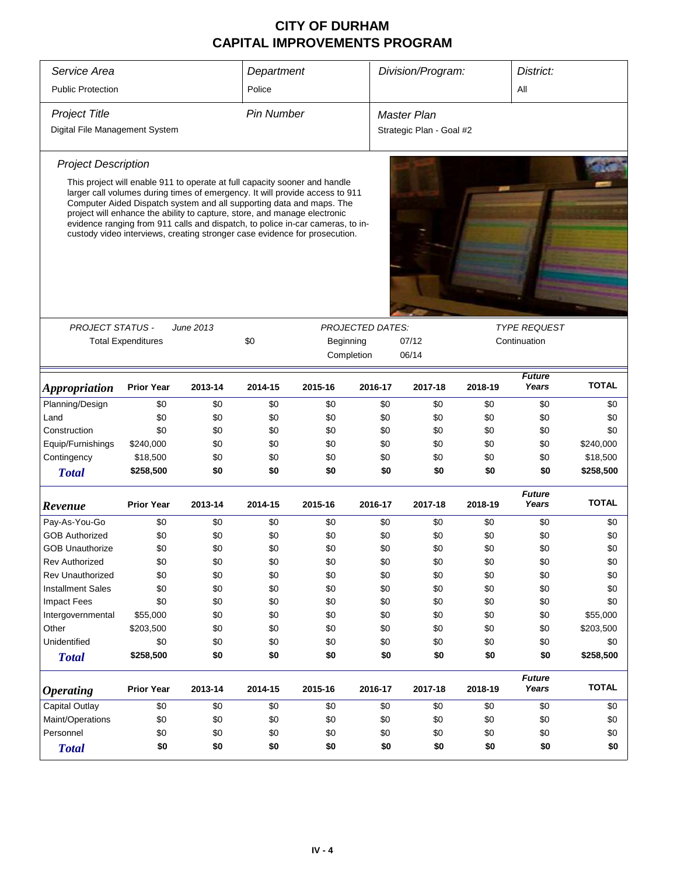| Service Area                   |                                                                           |           | Department        |                                                                                                                                                                                                                                                                                                                                                                                                    |                         |                          | Division/Program:<br>District: |                                     |              |  |
|--------------------------------|---------------------------------------------------------------------------|-----------|-------------------|----------------------------------------------------------------------------------------------------------------------------------------------------------------------------------------------------------------------------------------------------------------------------------------------------------------------------------------------------------------------------------------------------|-------------------------|--------------------------|--------------------------------|-------------------------------------|--------------|--|
| <b>Public Protection</b>       |                                                                           |           | Police            |                                                                                                                                                                                                                                                                                                                                                                                                    |                         |                          |                                | All                                 |              |  |
|                                |                                                                           |           |                   |                                                                                                                                                                                                                                                                                                                                                                                                    |                         |                          |                                |                                     |              |  |
| <b>Project Title</b>           |                                                                           |           | <b>Pin Number</b> |                                                                                                                                                                                                                                                                                                                                                                                                    |                         | Master Plan              |                                |                                     |              |  |
| Digital File Management System |                                                                           |           |                   |                                                                                                                                                                                                                                                                                                                                                                                                    |                         | Strategic Plan - Goal #2 |                                |                                     |              |  |
| <b>Project Description</b>     |                                                                           |           |                   |                                                                                                                                                                                                                                                                                                                                                                                                    |                         |                          |                                |                                     |              |  |
|                                | project will enhance the ability to capture, store, and manage electronic |           |                   | This project will enable 911 to operate at full capacity sooner and handle<br>larger call volumes during times of emergency. It will provide access to 911<br>Computer Aided Dispatch system and all supporting data and maps. The<br>evidence ranging from 911 calls and dispatch, to police in-car cameras, to in-<br>custody video interviews, creating stronger case evidence for prosecution. |                         |                          |                                |                                     |              |  |
| <b>PROJECT STATUS -</b>        |                                                                           |           |                   |                                                                                                                                                                                                                                                                                                                                                                                                    | <b>PROJECTED DATES:</b> |                          |                                |                                     |              |  |
|                                | <b>Total Expenditures</b>                                                 | June 2013 | \$0               | Beginning                                                                                                                                                                                                                                                                                                                                                                                          |                         | 07/12                    |                                | <b>TYPE REQUEST</b><br>Continuation |              |  |
|                                |                                                                           |           |                   |                                                                                                                                                                                                                                                                                                                                                                                                    | Completion              | 06/14                    |                                |                                     |              |  |
|                                |                                                                           |           |                   |                                                                                                                                                                                                                                                                                                                                                                                                    |                         |                          |                                | <b>Future</b>                       |              |  |
| <i><b>Appropriation</b></i>    | <b>Prior Year</b>                                                         | 2013-14   | 2014-15           | 2015-16                                                                                                                                                                                                                                                                                                                                                                                            | 2016-17                 | 2017-18                  | 2018-19                        | Years                               | <b>TOTAL</b> |  |
| Planning/Design                | \$0                                                                       | \$0       | \$0               | \$0                                                                                                                                                                                                                                                                                                                                                                                                | \$0                     | \$0                      | \$0                            | \$0                                 | \$0          |  |
| Land                           | \$0                                                                       | \$0       | \$0               | \$0                                                                                                                                                                                                                                                                                                                                                                                                | \$0                     | \$0                      | \$0                            | \$0                                 | \$0          |  |
| Construction                   | \$0                                                                       | \$0       | \$0               | \$0                                                                                                                                                                                                                                                                                                                                                                                                | \$0                     | \$0                      | \$0                            | \$0                                 | \$0          |  |
| Equip/Furnishings              | \$240,000                                                                 | \$0       | \$0               | \$0                                                                                                                                                                                                                                                                                                                                                                                                | \$0                     | \$0                      | \$0                            | \$0                                 | \$240,000    |  |
| Contingency                    | \$18,500                                                                  | \$0       | \$0               | \$0                                                                                                                                                                                                                                                                                                                                                                                                | \$0                     | \$0                      | \$0                            | \$0                                 | \$18,500     |  |
| <b>Total</b>                   | \$258,500                                                                 | \$0       | \$0               | \$0                                                                                                                                                                                                                                                                                                                                                                                                | \$0                     | \$0                      | \$0                            | \$0                                 | \$258,500    |  |
| Revenue                        | <b>Prior Year</b>                                                         | 2013-14   | 2014-15           | 2015-16                                                                                                                                                                                                                                                                                                                                                                                            | 2016-17                 | 2017-18                  | 2018-19                        | <b>Future</b><br>Years              | <b>TOTAL</b> |  |
| Pay-As-You-Go                  | \$0                                                                       | \$0       | \$0               | \$0                                                                                                                                                                                                                                                                                                                                                                                                | \$0                     | \$0                      | \$0                            | \$0                                 | \$0          |  |
| <b>GOB Authorized</b>          | \$0                                                                       | \$0       | \$0               | \$0                                                                                                                                                                                                                                                                                                                                                                                                | \$0                     | \$0                      | \$0                            | \$0                                 | \$0          |  |
| <b>GOB Unauthorize</b>         | \$0                                                                       | \$0       | \$0               | \$0                                                                                                                                                                                                                                                                                                                                                                                                | \$0                     | \$0                      | \$0                            | \$0                                 | \$0          |  |
| Rev Authorized                 | \$0                                                                       | \$0       | \$0               | \$0                                                                                                                                                                                                                                                                                                                                                                                                | \$0                     | \$0                      | \$0                            | \$0                                 | \$0          |  |
| Rev Unauthorized               | \$0                                                                       | \$0       | \$0               | \$0                                                                                                                                                                                                                                                                                                                                                                                                | \$0                     | \$0                      | \$0                            | \$0                                 | \$0          |  |
| <b>Installment Sales</b>       | \$0                                                                       | \$0       | \$0               | \$0                                                                                                                                                                                                                                                                                                                                                                                                | \$0                     | \$0                      | \$0                            | \$0                                 | \$0          |  |
| <b>Impact Fees</b>             | \$0                                                                       | \$0       | \$0               | \$0                                                                                                                                                                                                                                                                                                                                                                                                | \$0                     | \$0                      | \$0                            | \$0                                 | \$0          |  |
| Intergovernmental              | \$55,000                                                                  | \$0       | \$0               | \$0                                                                                                                                                                                                                                                                                                                                                                                                | \$0                     | \$0                      | \$0                            | \$0                                 | \$55,000     |  |
| Other                          | \$203,500                                                                 | \$0       | \$0               | \$0                                                                                                                                                                                                                                                                                                                                                                                                | \$0                     | \$0                      | \$0                            | \$0                                 | \$203,500    |  |
| Unidentified                   | \$0                                                                       | \$0       | \$0               | \$0                                                                                                                                                                                                                                                                                                                                                                                                | \$0                     | \$0                      | \$0                            | \$0                                 | \$0          |  |
| <b>Total</b>                   | \$258,500                                                                 | \$0       | \$0               | \$0                                                                                                                                                                                                                                                                                                                                                                                                | \$0                     | \$0                      | \$0                            | \$0                                 | \$258,500    |  |
| <b>Operating</b>               | <b>Prior Year</b>                                                         | 2013-14   | 2014-15           | 2015-16                                                                                                                                                                                                                                                                                                                                                                                            | 2016-17                 | 2017-18                  | 2018-19                        | <b>Future</b><br>Years              | <b>TOTAL</b> |  |
| Capital Outlay                 | \$0                                                                       | \$0       | \$0               | \$0                                                                                                                                                                                                                                                                                                                                                                                                | \$0                     | \$0                      | \$0                            | \$0                                 | \$0          |  |
| Maint/Operations               | \$0                                                                       | \$0       | \$0               | \$0                                                                                                                                                                                                                                                                                                                                                                                                | \$0                     | \$0                      | \$0                            | \$0                                 | \$0          |  |
| Personnel                      | \$0                                                                       | \$0       | \$0               | \$0                                                                                                                                                                                                                                                                                                                                                                                                | \$0                     | \$0                      | \$0                            | \$0                                 | \$0          |  |
| <b>Total</b>                   | \$0                                                                       | \$0       | \$0               | \$0                                                                                                                                                                                                                                                                                                                                                                                                | \$0                     | \$0                      | \$0                            | \$0                                 | \$0          |  |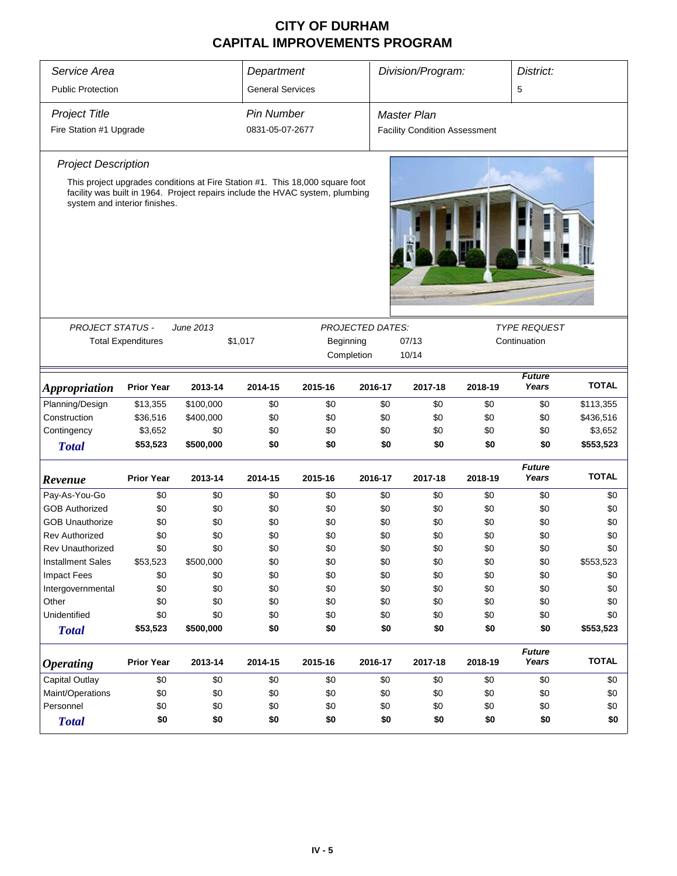| Service Area                  | Division/Program:<br>District:<br>Department |           |                         |                                                                                                                                                               |                         |                                      |         |                        |              |  |
|-------------------------------|----------------------------------------------|-----------|-------------------------|---------------------------------------------------------------------------------------------------------------------------------------------------------------|-------------------------|--------------------------------------|---------|------------------------|--------------|--|
| <b>Public Protection</b>      |                                              |           | <b>General Services</b> |                                                                                                                                                               |                         | 5                                    |         |                        |              |  |
| <b>Project Title</b>          |                                              |           | <b>Pin Number</b>       |                                                                                                                                                               |                         | Master Plan                          |         |                        |              |  |
| Fire Station #1 Upgrade       |                                              |           | 0831-05-07-2677         |                                                                                                                                                               |                         | <b>Facility Condition Assessment</b> |         |                        |              |  |
| <b>Project Description</b>    |                                              |           |                         |                                                                                                                                                               |                         |                                      |         |                        |              |  |
| system and interior finishes. |                                              |           |                         | This project upgrades conditions at Fire Station #1. This 18,000 square foot<br>facility was built in 1964. Project repairs include the HVAC system, plumbing |                         |                                      |         |                        |              |  |
|                               |                                              |           |                         |                                                                                                                                                               |                         |                                      |         | <b>TYPE REQUEST</b>    |              |  |
| <b>PROJECT STATUS -</b>       | <b>Total Expenditures</b>                    | June 2013 | \$1,017                 | Beginning<br>Completion                                                                                                                                       | <b>PROJECTED DATES:</b> | 07/13<br>10/14                       |         |                        |              |  |
| <i><b>Appropriation</b></i>   | <b>Prior Year</b>                            | 2013-14   | 2014-15                 | 2015-16                                                                                                                                                       | 2016-17                 | 2017-18                              | 2018-19 | <b>Future</b><br>Years | <b>TOTAL</b> |  |
| Planning/Design               | \$13,355                                     | \$100,000 | \$0                     | \$0                                                                                                                                                           | \$0                     | \$0                                  | \$0     | \$0                    | \$113,355    |  |
| Construction                  | \$36,516                                     | \$400,000 | \$0                     | \$0                                                                                                                                                           | \$0                     | \$0                                  | \$0     | \$0                    | \$436,516    |  |
| Contingency                   | \$3,652                                      | \$0       | \$0                     | \$0                                                                                                                                                           | \$0                     | \$0                                  | \$0     | \$0                    | \$3,652      |  |
| <b>Total</b>                  | \$53,523                                     | \$500,000 | \$0                     | \$0                                                                                                                                                           | \$0                     | \$0                                  | \$0     | \$0                    | \$553,523    |  |
| Revenue                       | <b>Prior Year</b>                            | 2013-14   | 2014-15                 | 2015-16                                                                                                                                                       | 2016-17                 | 2017-18                              | 2018-19 | <b>Future</b><br>Years | <b>TOTAL</b> |  |
| Pay-As-You-Go                 | \$0                                          | \$0       | \$0                     | \$0                                                                                                                                                           | \$0                     | \$0                                  | \$0     | \$0                    | \$0          |  |
| <b>GOB Authorized</b>         | \$0                                          | \$0       | \$0                     | \$0                                                                                                                                                           | \$0                     | \$0                                  | \$0     | \$0                    | \$0          |  |
| <b>GOB Unauthorize</b>        | \$0                                          | \$0       | \$0                     | \$0                                                                                                                                                           | \$0                     | \$0                                  | \$0     | \$0                    | \$0          |  |
| <b>Rev Authorized</b>         | \$0                                          | \$0       | \$0                     | \$0                                                                                                                                                           | \$0                     | \$0                                  | \$0     | \$0                    | \$0          |  |
| Rev Unauthorized              | \$0                                          | \$0       | \$0                     | \$0                                                                                                                                                           | \$0                     | \$0                                  | \$0     | \$0                    | \$0          |  |
| <b>Installment Sales</b>      | \$53,523                                     | \$500,000 | \$0                     | \$0                                                                                                                                                           | \$0                     | \$0                                  | \$0     | \$0                    | \$553,523    |  |
| <b>Impact Fees</b>            | \$0                                          | \$0       | \$0                     | \$0                                                                                                                                                           | \$0                     | \$0                                  | \$0     | \$0                    | \$0          |  |
| Intergovernmental             | \$0                                          | \$0       | \$0                     | \$0                                                                                                                                                           | \$0                     | \$0                                  | \$0     | \$0                    | \$0          |  |
| Other                         | \$0                                          | \$0       | \$0                     | \$0                                                                                                                                                           | \$0                     | \$0                                  | \$0     | \$0                    | \$0          |  |
| Unidentified                  | \$0                                          | \$0       | \$0                     | \$0                                                                                                                                                           | \$0                     | \$0                                  | \$0     | \$0                    | \$0          |  |
| <b>Total</b>                  | \$53,523                                     | \$500,000 | \$0                     | \$0                                                                                                                                                           | \$0                     | \$0                                  | \$0     | \$0                    | \$553,523    |  |
| <b>Operating</b>              | <b>Prior Year</b>                            | 2013-14   | 2014-15                 | 2015-16                                                                                                                                                       | 2016-17                 | 2017-18                              | 2018-19 | <b>Future</b><br>Years | <b>TOTAL</b> |  |
| <b>Capital Outlay</b>         | \$0                                          | \$0       | \$0                     | \$0                                                                                                                                                           | \$0                     | \$0                                  | \$0     | \$0                    | \$0          |  |
| Maint/Operations              | \$0                                          | \$0       | \$0                     | \$0                                                                                                                                                           | \$0                     | \$0                                  | \$0     | \$0                    | \$0          |  |
| Personnel                     | \$0                                          | \$0       | \$0                     | \$0                                                                                                                                                           | \$0                     | \$0                                  | \$0     | \$0                    | \$0          |  |
| <b>Total</b>                  | \$0                                          | \$0       | \$0                     | \$0                                                                                                                                                           | \$0                     | \$0                                  | \$0     | \$0                    | \$0          |  |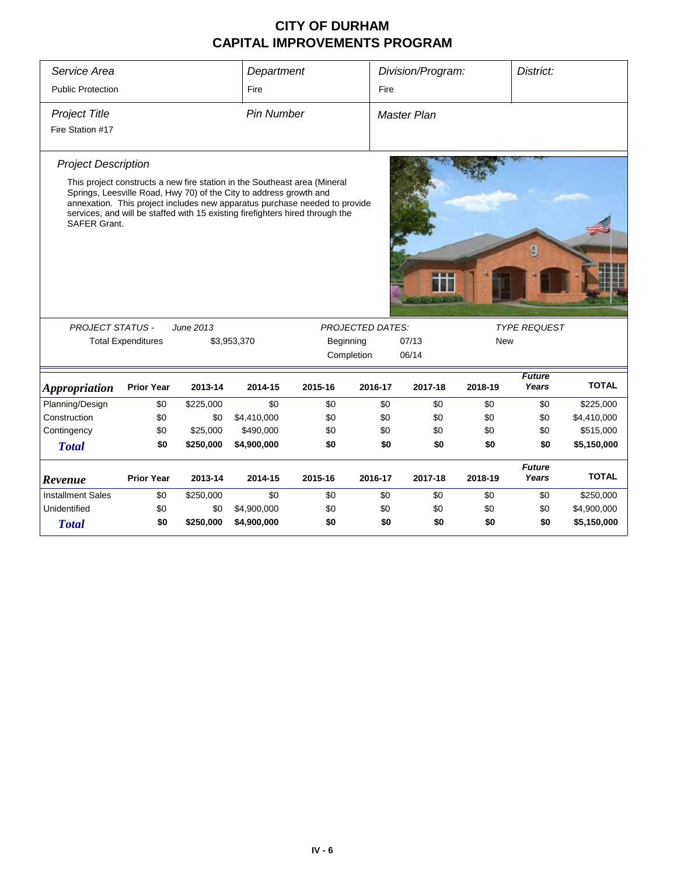| Service Area                                                                        |                           |           | Department                                                                                                                                                                                                                                                                                                     |           |                         | Division/Program: |            | District:              |              |
|-------------------------------------------------------------------------------------|---------------------------|-----------|----------------------------------------------------------------------------------------------------------------------------------------------------------------------------------------------------------------------------------------------------------------------------------------------------------------|-----------|-------------------------|-------------------|------------|------------------------|--------------|
| <b>Public Protection</b>                                                            |                           |           | Fire                                                                                                                                                                                                                                                                                                           |           | Fire                    |                   |            |                        |              |
| <b>Project Title</b><br><b>Pin Number</b><br><b>Master Plan</b><br>Fire Station #17 |                           |           |                                                                                                                                                                                                                                                                                                                |           |                         |                   |            |                        |              |
| <b>Project Description</b><br><b>SAFER Grant.</b>                                   |                           |           | This project constructs a new fire station in the Southeast area (Mineral<br>Springs, Leesville Road, Hwy 70) of the City to address growth and<br>annexation. This project includes new apparatus purchase needed to provide<br>services, and will be staffed with 15 existing firefighters hired through the |           |                         |                   |            |                        |              |
| <b>PROJECT STATUS -</b>                                                             |                           | June 2013 |                                                                                                                                                                                                                                                                                                                |           | <b>PROJECTED DATES:</b> |                   |            | <b>TYPE REQUEST</b>    |              |
|                                                                                     | <b>Total Expenditures</b> |           | \$3,953,370                                                                                                                                                                                                                                                                                                    | Beginning |                         | 07/13             | <b>New</b> |                        |              |
|                                                                                     |                           |           |                                                                                                                                                                                                                                                                                                                |           | Completion              | 06/14             |            |                        |              |
| <b>Appropriation</b>                                                                | <b>Prior Year</b>         | 2013-14   | 2014-15                                                                                                                                                                                                                                                                                                        | 2015-16   | 2016-17                 | 2017-18           | 2018-19    | <b>Future</b><br>Years | <b>TOTAL</b> |
| Planning/Design                                                                     | \$0                       | \$225,000 | \$0                                                                                                                                                                                                                                                                                                            | \$0       | \$0                     | \$0               | \$0        | \$0                    | \$225,000    |
| Construction                                                                        | \$0                       | \$0       | \$4,410,000                                                                                                                                                                                                                                                                                                    | \$0       | \$0                     | \$0               | \$0        | \$0                    | \$4,410,000  |
| Contingency                                                                         | \$0                       | \$25,000  | \$490,000                                                                                                                                                                                                                                                                                                      | \$0       | \$0                     | \$0               | \$0        | \$0                    | \$515,000    |
| <b>Total</b>                                                                        | \$0                       | \$250,000 | \$4,900,000                                                                                                                                                                                                                                                                                                    | \$0       | \$0                     | \$0               | \$0        | \$0                    | \$5,150,000  |
| Revenue                                                                             | <b>Prior Year</b>         | 2013-14   | 2014-15                                                                                                                                                                                                                                                                                                        | 2015-16   | 2016-17                 | 2017-18           | 2018-19    | <b>Future</b><br>Years | <b>TOTAL</b> |
| <b>Installment Sales</b>                                                            | \$0                       | \$250,000 | \$0                                                                                                                                                                                                                                                                                                            | \$0       | \$0                     | \$0               | \$0        | \$0                    | \$250,000    |
| Unidentified                                                                        | \$0                       | \$0       | \$4,900,000                                                                                                                                                                                                                                                                                                    | \$0       | \$0                     | \$0               | \$0        | \$0                    | \$4,900,000  |
|                                                                                     |                           |           |                                                                                                                                                                                                                                                                                                                |           |                         |                   |            |                        |              |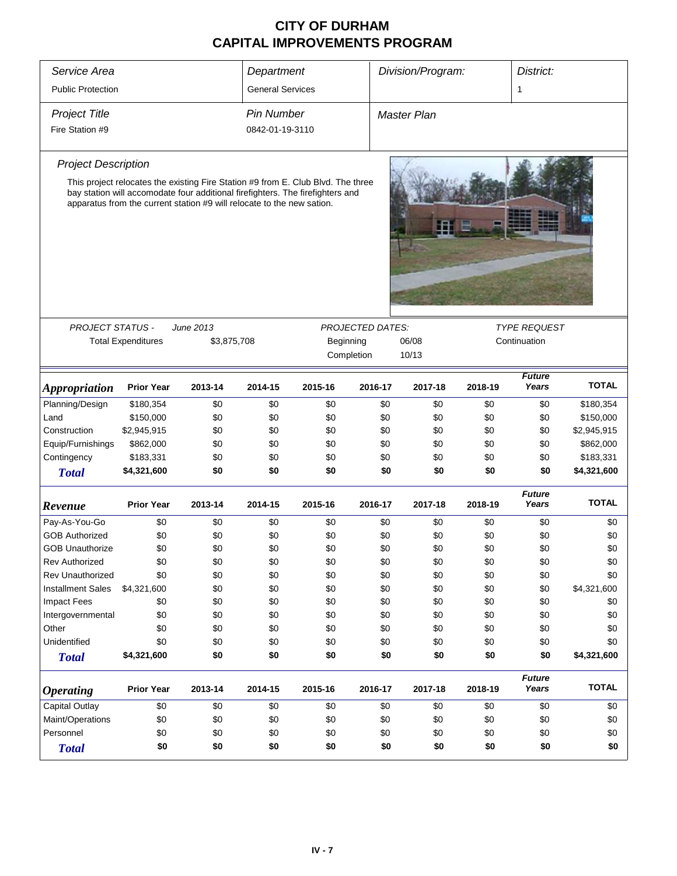| Service Area                |                                                                                                                                                                                                                                              |             | Department              |           |                         | Division/Program:<br>District: |         |         |                        |              |
|-----------------------------|----------------------------------------------------------------------------------------------------------------------------------------------------------------------------------------------------------------------------------------------|-------------|-------------------------|-----------|-------------------------|--------------------------------|---------|---------|------------------------|--------------|
| <b>Public Protection</b>    |                                                                                                                                                                                                                                              |             | <b>General Services</b> |           |                         | 1                              |         |         |                        |              |
| <b>Project Title</b>        |                                                                                                                                                                                                                                              |             | <b>Pin Number</b>       |           |                         | <b>Master Plan</b>             |         |         |                        |              |
| Fire Station #9             |                                                                                                                                                                                                                                              |             | 0842-01-19-3110         |           |                         |                                |         |         |                        |              |
|                             |                                                                                                                                                                                                                                              |             |                         |           |                         |                                |         |         |                        |              |
| <b>Project Description</b>  |                                                                                                                                                                                                                                              |             |                         |           |                         |                                |         |         |                        |              |
|                             | This project relocates the existing Fire Station #9 from E. Club Blvd. The three<br>bay station will accomodate four additional firefighters. The firefighters and<br>apparatus from the current station #9 will relocate to the new sation. |             |                         |           |                         |                                |         |         |                        |              |
| <b>PROJECT STATUS -</b>     |                                                                                                                                                                                                                                              | June 2013   |                         |           | <b>PROJECTED DATES:</b> |                                |         |         | <b>TYPE REQUEST</b>    |              |
|                             | <b>Total Expenditures</b>                                                                                                                                                                                                                    | \$3,875,708 |                         | Beginning |                         | 06/08                          |         |         | Continuation           |              |
|                             |                                                                                                                                                                                                                                              |             |                         |           | Completion              | 10/13                          |         |         |                        |              |
| <i><b>Appropriation</b></i> | <b>Prior Year</b>                                                                                                                                                                                                                            | 2013-14     | 2014-15                 | 2015-16   | 2016-17                 |                                | 2017-18 | 2018-19 | <b>Future</b><br>Years | <b>TOTAL</b> |
| Planning/Design             | \$180,354                                                                                                                                                                                                                                    | \$0         | \$0                     | \$0       |                         | \$0                            | \$0     | \$0     | \$0                    | \$180,354    |
| Land                        | \$150,000                                                                                                                                                                                                                                    | \$0         | \$0                     | \$0       |                         | \$0                            | \$0     | \$0     | \$0                    | \$150,000    |
| Construction                | \$2,945,915                                                                                                                                                                                                                                  | \$0         | \$0                     | \$0       |                         | \$0                            | \$0     | \$0     | \$0                    | \$2,945,915  |
| Equip/Furnishings           | \$862,000                                                                                                                                                                                                                                    | \$0         | \$0                     | \$0       |                         | \$0                            | \$0     | \$0     | \$0                    | \$862,000    |
| Contingency                 | \$183,331                                                                                                                                                                                                                                    | \$0         | \$0                     | \$0       |                         | \$0                            | \$0     | \$0     | \$0                    | \$183,331    |
| <b>Total</b>                | \$4,321,600                                                                                                                                                                                                                                  | \$0         | \$0                     | \$0       |                         | \$0                            | \$0     | \$0     | \$0                    | \$4,321,600  |
| Revenue                     | <b>Prior Year</b>                                                                                                                                                                                                                            | 2013-14     | 2014-15                 | 2015-16   | 2016-17                 |                                | 2017-18 | 2018-19 | <b>Future</b><br>Years | <b>TOTAL</b> |
| Pay-As-You-Go               | \$0                                                                                                                                                                                                                                          | \$0         | \$0                     | \$0       |                         | \$0                            | \$0     | \$0     | \$0                    | \$0          |
| <b>GOB Authorized</b>       | \$0                                                                                                                                                                                                                                          | \$0         | \$0                     | \$0       |                         | \$0                            | \$0     | \$0     | \$0                    | \$0          |
| <b>GOB Unauthorize</b>      | \$0                                                                                                                                                                                                                                          | \$0         | \$0                     | \$0       |                         | \$0                            | \$0     | \$0     | \$0                    | \$0          |
| <b>Rev Authorized</b>       | \$0                                                                                                                                                                                                                                          | \$0         | \$0                     | \$0       |                         | \$0                            | \$0     | \$0     | \$0                    | \$0          |
| <b>Rev Unauthorized</b>     | \$0                                                                                                                                                                                                                                          | \$0         | \$0                     | \$0       |                         | \$0                            | \$0     | \$0     | \$0                    | \$0          |
| <b>Installment Sales</b>    | \$4,321,600                                                                                                                                                                                                                                  | \$0         | \$0                     | \$0       |                         | \$0                            | \$0     | \$0     | \$0                    | \$4,321,600  |
| <b>Impact Fees</b>          | \$0                                                                                                                                                                                                                                          | \$0         | \$0                     | \$0       |                         | \$0                            | \$0     | \$0     | \$0                    | \$0          |
| Intergovernmental           | \$0                                                                                                                                                                                                                                          | \$0         | \$0                     | \$0       |                         | \$0                            | \$0     | \$0     | \$0                    | \$0          |
| Other                       | \$0                                                                                                                                                                                                                                          | \$0         | \$0                     | \$0       |                         | \$0                            | \$0     | \$0     | \$0                    | \$0          |
| Unidentified                | \$0                                                                                                                                                                                                                                          | \$0         | \$0                     | \$0       |                         | \$0                            | \$0     | \$0     | \$0                    | \$0          |
| <b>Total</b>                | \$4,321,600                                                                                                                                                                                                                                  | \$0         | \$0                     | \$0       |                         | \$0                            | \$0     | \$0     | \$0                    | \$4,321,600  |
| <b>Operating</b>            | <b>Prior Year</b>                                                                                                                                                                                                                            | 2013-14     | 2014-15                 | 2015-16   | 2016-17                 |                                | 2017-18 | 2018-19 | <b>Future</b><br>Years | <b>TOTAL</b> |
| <b>Capital Outlay</b>       | \$0                                                                                                                                                                                                                                          | \$0         | \$0                     | \$0       |                         | \$0                            | \$0     | \$0     | \$0                    | \$0          |
| Maint/Operations            | \$0                                                                                                                                                                                                                                          | \$0         | \$0                     | \$0       |                         | \$0                            | \$0     | \$0     | \$0                    | \$0          |
| Personnel                   | \$0                                                                                                                                                                                                                                          | \$0         | \$0                     | \$0       |                         | \$0                            | \$0     | \$0     | \$0                    | \$0          |
| <b>Total</b>                | \$0                                                                                                                                                                                                                                          | \$0         | \$0                     | \$0       |                         | \$0                            | \$0     | \$0     | \$0                    | \$0          |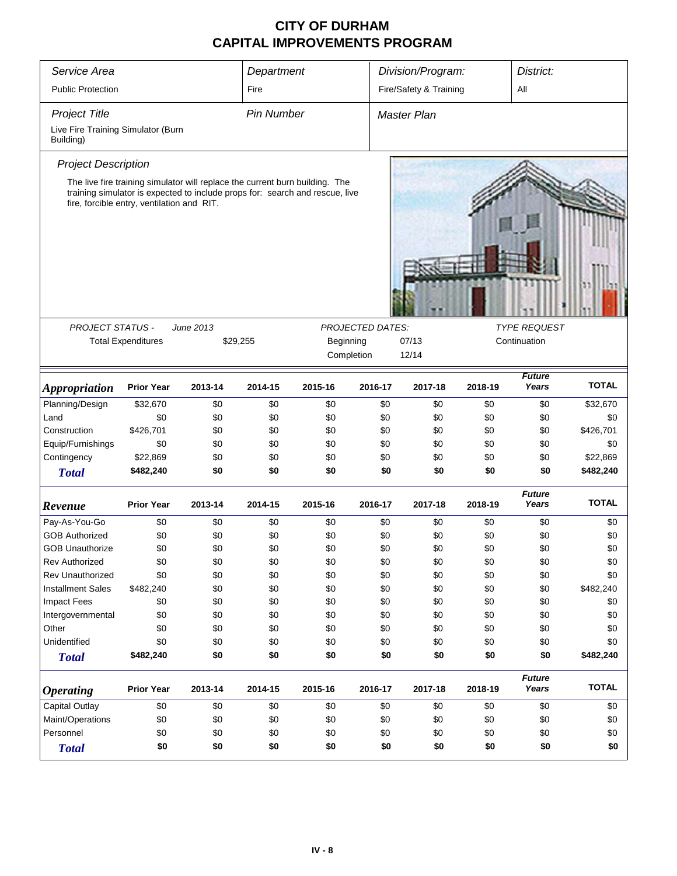| Service Area                                    |                                                                                                                            |           | Department        |           |                         | Division/Program:      |         | District:              |              |  |  |  |
|-------------------------------------------------|----------------------------------------------------------------------------------------------------------------------------|-----------|-------------------|-----------|-------------------------|------------------------|---------|------------------------|--------------|--|--|--|
| <b>Public Protection</b>                        |                                                                                                                            |           | Fire              |           |                         | Fire/Safety & Training |         | All                    |              |  |  |  |
| <b>Project Title</b>                            |                                                                                                                            |           | <b>Pin Number</b> |           |                         | <b>Master Plan</b>     |         |                        |              |  |  |  |
| Live Fire Training Simulator (Burn<br>Building) |                                                                                                                            |           |                   |           |                         |                        |         |                        |              |  |  |  |
| <b>Project Description</b>                      |                                                                                                                            |           |                   |           |                         |                        |         |                        |              |  |  |  |
|                                                 | The live fire training simulator will replace the current burn building. The                                               |           |                   |           |                         |                        |         |                        |              |  |  |  |
|                                                 | training simulator is expected to include props for: search and rescue, live<br>fire, forcible entry, ventilation and RIT. |           |                   |           |                         |                        |         |                        |              |  |  |  |
|                                                 |                                                                                                                            |           |                   |           |                         |                        |         |                        |              |  |  |  |
| <b>PROJECT STATUS -</b>                         |                                                                                                                            | June 2013 |                   |           | <b>PROJECTED DATES:</b> |                        |         | <b>TYPE REQUEST</b>    |              |  |  |  |
|                                                 | <b>Total Expenditures</b>                                                                                                  |           | \$29,255          | Beginning |                         | 07/13                  |         | Continuation           |              |  |  |  |
|                                                 |                                                                                                                            |           |                   |           | Completion              | 12/14                  |         |                        |              |  |  |  |
| <i><b>Appropriation</b></i>                     | <b>Prior Year</b>                                                                                                          | 2013-14   | 2014-15           | 2015-16   | 2016-17                 | 2017-18                | 2018-19 | <b>Future</b><br>Years | <b>TOTAL</b> |  |  |  |
| Planning/Design                                 | \$32,670                                                                                                                   | \$0       | \$0               | \$0       | \$0                     | \$0                    | \$0     | \$0                    | \$32,670     |  |  |  |
| Land                                            | \$0                                                                                                                        | \$0       | \$0               | \$0       | \$0                     | \$0                    | \$0     | \$0                    | \$0          |  |  |  |
| Construction                                    | \$426,701                                                                                                                  | \$0       | \$0               | \$0       | \$0                     | \$0                    | \$0     | \$0                    | \$426,701    |  |  |  |
| Equip/Furnishings                               | \$0                                                                                                                        | \$0       | \$0               | \$0       | \$0                     | \$0                    | \$0     | \$0                    | \$0          |  |  |  |
| Contingency                                     | \$22,869                                                                                                                   | \$0       | \$0               | \$0       | \$0                     | \$0                    | \$0     | \$0                    | \$22,869     |  |  |  |
| <b>Total</b>                                    | \$482,240                                                                                                                  | \$0       | \$0               | \$0       | \$0                     | \$0                    | \$0     | \$0                    | \$482,240    |  |  |  |
| Revenue                                         | <b>Prior Year</b>                                                                                                          | 2013-14   | 2014-15           | 2015-16   | 2016-17                 | 2017-18                | 2018-19 | <b>Future</b><br>Years | <b>TOTAL</b> |  |  |  |
| Pay-As-You-Go                                   | \$0                                                                                                                        | \$0       | \$0               | \$0       | \$0                     | \$0                    | \$0     | \$0                    | \$0          |  |  |  |
| <b>GOB Authorized</b>                           | \$0                                                                                                                        | \$0       | \$0               | \$0       | \$0                     | \$0                    | \$0     | \$0                    | \$0          |  |  |  |
| <b>GOB Unauthorize</b>                          | \$0                                                                                                                        | \$0       | \$0               | \$0       | \$0                     | \$0                    | \$0     | \$0                    | \$0          |  |  |  |
| Rev Authorized                                  | \$0                                                                                                                        | \$0       | \$0               | \$0       | \$0                     | \$0                    | \$0     | \$0                    | \$0          |  |  |  |
| <b>Rev Unauthorized</b>                         | \$0                                                                                                                        | \$0       | \$0               | \$0       | \$0                     | \$0                    | \$0     | \$0                    | \$0          |  |  |  |
| <b>Installment Sales</b>                        | \$482,240                                                                                                                  | \$0       | \$0               | \$0       | \$0                     | \$0                    | \$0     | \$0                    | \$482,240    |  |  |  |
| <b>Impact Fees</b>                              | \$0                                                                                                                        | \$0       | \$0               | \$0       | \$0                     | \$0                    | \$0     | \$0                    | \$0          |  |  |  |
| Intergovernmental                               | \$0                                                                                                                        | \$0       | \$0               | \$0       | \$0                     | \$0                    | \$0     | \$0                    | \$0          |  |  |  |
| Other                                           | \$0                                                                                                                        | \$0       | \$0               | \$0       | \$0                     | \$0                    | \$0     | \$0                    | \$0          |  |  |  |
| Unidentified                                    | \$0                                                                                                                        | \$0       | \$0               | \$0       | \$0                     | \$0                    | \$0     | \$0                    | \$0          |  |  |  |
| <b>Total</b>                                    | \$482,240                                                                                                                  | \$0       | \$0               | \$0       | \$0                     | \$0                    | \$0     | \$0                    | \$482,240    |  |  |  |
| <i><b>Operating</b></i>                         | <b>Prior Year</b>                                                                                                          | 2013-14   | 2014-15           | 2015-16   | 2016-17                 | 2017-18                | 2018-19 | <b>Future</b><br>Years | <b>TOTAL</b> |  |  |  |
| Capital Outlay                                  | \$0                                                                                                                        | \$0       | \$0               | \$0       | \$0                     | \$0                    | \$0     | \$0                    | \$0          |  |  |  |
| Maint/Operations                                | \$0                                                                                                                        | \$0       | \$0               | \$0       | \$0                     | \$0                    | \$0     | \$0                    | \$0          |  |  |  |
| Personnel                                       | \$0                                                                                                                        | \$0       | \$0               | \$0       | \$0                     | \$0                    | \$0     | \$0                    | \$0          |  |  |  |
| <b>Total</b>                                    | \$0                                                                                                                        | \$0       | \$0               | \$0       | \$0                     | \$0                    | \$0     | \$0                    | \$0          |  |  |  |
|                                                 |                                                                                                                            |           |                   |           |                         |                        |         |                        |              |  |  |  |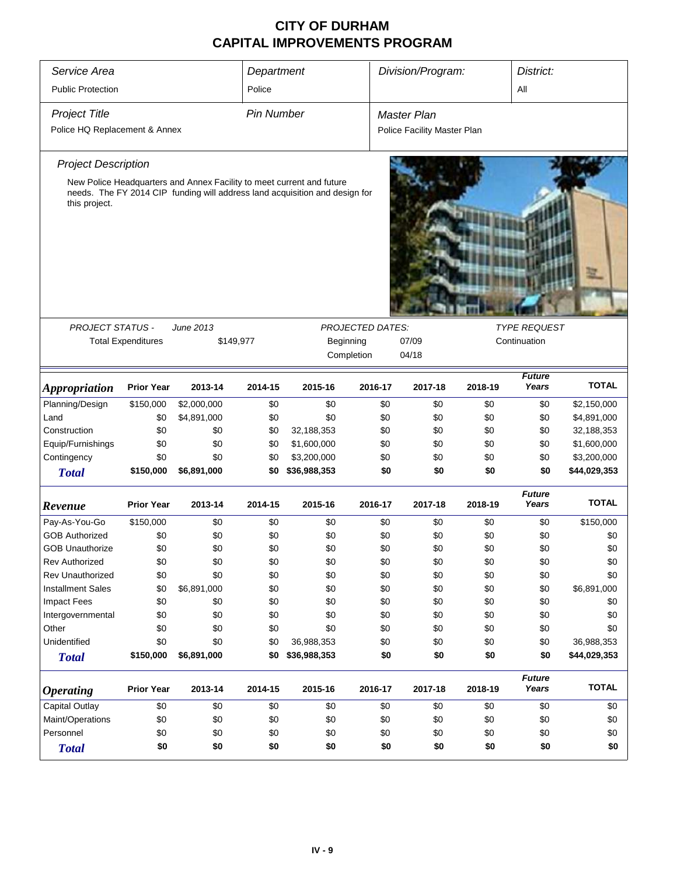| Service Area                  |                           |                                                                                                                                                      | Department        |              |                         | Division/Program: |                             | District: |                        |              |
|-------------------------------|---------------------------|------------------------------------------------------------------------------------------------------------------------------------------------------|-------------------|--------------|-------------------------|-------------------|-----------------------------|-----------|------------------------|--------------|
| <b>Public Protection</b>      |                           |                                                                                                                                                      | Police            |              |                         |                   |                             |           | All                    |              |
| <b>Project Title</b>          |                           |                                                                                                                                                      | <b>Pin Number</b> |              |                         |                   | <b>Master Plan</b>          |           |                        |              |
| Police HQ Replacement & Annex |                           |                                                                                                                                                      |                   |              |                         |                   | Police Facility Master Plan |           |                        |              |
| <b>Project Description</b>    |                           |                                                                                                                                                      |                   |              |                         |                   |                             |           |                        |              |
| this project.                 |                           | New Police Headquarters and Annex Facility to meet current and future<br>needs. The FY 2014 CIP funding will address land acquisition and design for |                   |              |                         |                   |                             |           |                        |              |
| <b>PROJECT STATUS -</b>       |                           | June 2013                                                                                                                                            |                   |              | <b>PROJECTED DATES:</b> |                   |                             |           | <b>TYPE REQUEST</b>    |              |
|                               | <b>Total Expenditures</b> | \$149,977                                                                                                                                            |                   | Beginning    |                         |                   | 07/09                       |           | Continuation           |              |
|                               |                           |                                                                                                                                                      |                   |              |                         |                   | 04/18                       |           |                        |              |
|                               |                           |                                                                                                                                                      |                   |              | Completion              |                   |                             |           |                        |              |
| <i><b>Appropriation</b></i>   | <b>Prior Year</b>         | 2013-14                                                                                                                                              | 2014-15           | 2015-16      | 2016-17                 |                   | 2017-18                     | 2018-19   | <b>Future</b><br>Years | <b>TOTAL</b> |
| Planning/Design               | \$150,000                 | \$2,000,000                                                                                                                                          | \$0               | \$0          |                         | \$0               | \$0                         | \$0       | \$0                    | \$2,150,000  |
| Land                          | \$0                       | \$4,891,000                                                                                                                                          | \$0               | \$0          |                         | \$0               | \$0                         | \$0       | \$0                    | \$4,891,000  |
| Construction                  | \$0                       | \$0                                                                                                                                                  | \$0               | 32,188,353   |                         | \$0               | \$0                         | \$0       | \$0                    | 32,188,353   |
| Equip/Furnishings             | \$0                       | \$0                                                                                                                                                  | \$0               | \$1,600,000  |                         | \$0               | \$0                         | \$0       | \$0                    | \$1,600,000  |
| Contingency                   | \$0                       | \$0                                                                                                                                                  | \$0               | \$3,200,000  |                         | \$0               | \$0                         | \$0       | \$0                    | \$3,200,000  |
| <b>Total</b>                  | \$150,000                 | \$6,891,000                                                                                                                                          | \$0               | \$36,988,353 |                         | \$0               | \$0                         | \$0       | \$0                    | \$44,029,353 |
| Revenue                       | <b>Prior Year</b>         | 2013-14                                                                                                                                              | 2014-15           | 2015-16      | 2016-17                 |                   | 2017-18                     | 2018-19   | <b>Future</b><br>Years | <b>TOTAL</b> |
| Pay-As-You-Go                 | \$150,000                 | \$0                                                                                                                                                  | \$0               | \$0          |                         | \$0               | \$0                         | \$0       | \$0                    | \$150,000    |
| <b>GOB Authorized</b>         | \$0                       | \$0                                                                                                                                                  | \$0               | \$0          |                         | \$0               | \$0                         | \$0       | \$0                    | \$0          |
| <b>GOB Unauthorize</b>        | \$0                       | \$0                                                                                                                                                  | \$0               | \$0          |                         | \$0               | \$0                         | \$0       | \$0                    | \$0          |
| <b>Rev Authorized</b>         | \$0                       | \$0                                                                                                                                                  | \$0               | \$0          |                         | \$0               | \$0                         | \$0       | \$0                    | \$0          |
| <b>Rev Unauthorized</b>       | \$0                       | \$0                                                                                                                                                  | \$0               | \$0          |                         | \$0               | \$0                         | \$0       | \$0                    | \$0          |
| <b>Installment Sales</b>      | \$0                       | \$6,891,000                                                                                                                                          | \$0               | \$0          |                         | \$0               | \$0                         | \$0       | \$0                    | \$6,891,000  |
| <b>Impact Fees</b>            | \$0                       | \$0                                                                                                                                                  | \$0               | \$0          |                         | \$0               | \$0                         | \$0       | \$0                    | \$0          |
| Intergovernmental             | \$0                       | \$0                                                                                                                                                  | \$0               | \$0          |                         | \$0               | \$0                         | \$0       | \$0                    | \$0          |
| Other                         | \$0                       | \$0                                                                                                                                                  | \$0               | \$0          |                         | \$0               | \$0                         | \$0       | \$0                    | \$0          |
| Unidentified                  | \$0                       | \$0                                                                                                                                                  | \$0               | 36,988,353   |                         | \$0               | \$0                         | \$0       | \$0                    | 36,988,353   |
| <b>Total</b>                  | \$150,000                 | \$6,891,000                                                                                                                                          | \$0               | \$36,988,353 |                         | \$0               | \$0                         | \$0       | \$0                    | \$44,029,353 |
| <b>Operating</b>              | <b>Prior Year</b>         | 2013-14                                                                                                                                              | 2014-15           | 2015-16      | 2016-17                 |                   | 2017-18                     | 2018-19   | <b>Future</b><br>Years | <b>TOTAL</b> |
| Capital Outlay                | \$0                       | \$0                                                                                                                                                  | \$0               | \$0          |                         | \$0               | \$0                         | \$0       | \$0                    | \$0          |
| Maint/Operations              | \$0                       | \$0                                                                                                                                                  | \$0               | \$0          |                         | \$0               | \$0                         | \$0       | \$0                    | \$0          |
| Personnel                     | \$0                       | \$0                                                                                                                                                  | \$0               | \$0          |                         | \$0               | \$0                         | \$0       | \$0                    | \$0          |
| <b>Total</b>                  | \$0                       | \$0                                                                                                                                                  | \$0               | \$0          |                         | \$0               | \$0                         | \$0       | \$0                    | \$0          |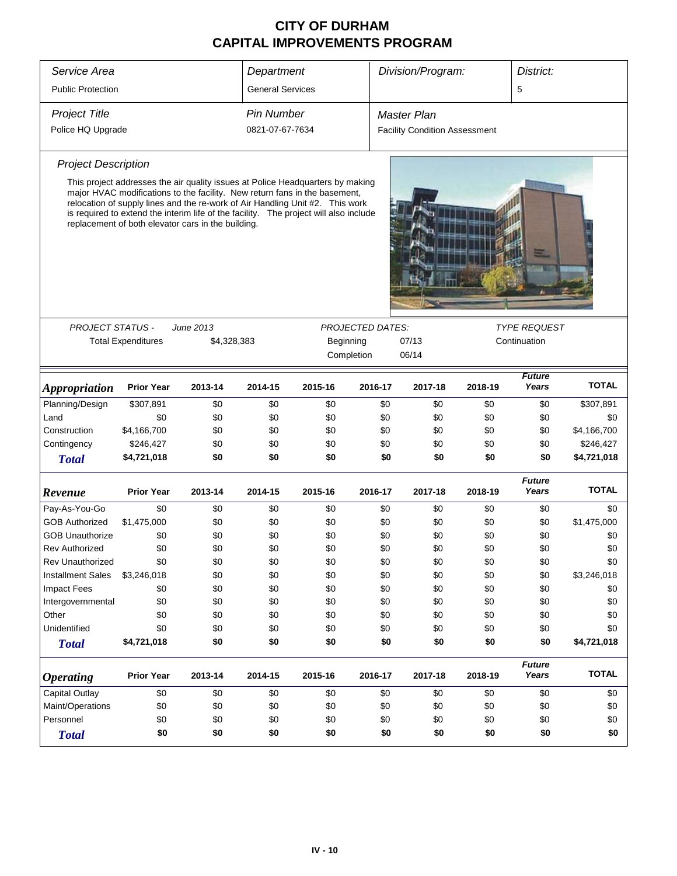| Service Area               |                           |                                                                                                                                                                                                                                                                                                            | Department              |           |                         | Division/Program:<br>District: |         |                                      |                        |              |  |
|----------------------------|---------------------------|------------------------------------------------------------------------------------------------------------------------------------------------------------------------------------------------------------------------------------------------------------------------------------------------------------|-------------------------|-----------|-------------------------|--------------------------------|---------|--------------------------------------|------------------------|--------------|--|
| <b>Public Protection</b>   |                           |                                                                                                                                                                                                                                                                                                            | <b>General Services</b> |           |                         |                                |         |                                      | 5                      |              |  |
| <b>Project Title</b>       |                           |                                                                                                                                                                                                                                                                                                            | <b>Pin Number</b>       |           |                         | Master Plan                    |         |                                      |                        |              |  |
| Police HQ Upgrade          |                           |                                                                                                                                                                                                                                                                                                            | 0821-07-67-7634         |           |                         |                                |         | <b>Facility Condition Assessment</b> |                        |              |  |
|                            |                           |                                                                                                                                                                                                                                                                                                            |                         |           |                         |                                |         |                                      |                        |              |  |
| <b>Project Description</b> |                           |                                                                                                                                                                                                                                                                                                            |                         |           |                         |                                |         |                                      |                        |              |  |
|                            |                           | This project addresses the air quality issues at Police Headquarters by making                                                                                                                                                                                                                             |                         |           |                         |                                |         |                                      |                        |              |  |
|                            |                           | major HVAC modifications to the facility. New return fans in the basement,<br>relocation of supply lines and the re-work of Air Handling Unit #2. This work<br>is required to extend the interim life of the facility. The project will also include<br>replacement of both elevator cars in the building. |                         |           |                         |                                |         |                                      |                        |              |  |
|                            |                           |                                                                                                                                                                                                                                                                                                            |                         |           |                         |                                |         |                                      |                        |              |  |
|                            |                           |                                                                                                                                                                                                                                                                                                            |                         |           |                         |                                |         |                                      |                        |              |  |
| <b>PROJECT STATUS -</b>    |                           | June 2013                                                                                                                                                                                                                                                                                                  |                         |           | <b>PROJECTED DATES:</b> |                                |         |                                      | <b>TYPE REQUEST</b>    |              |  |
|                            | <b>Total Expenditures</b> | \$4,328,383                                                                                                                                                                                                                                                                                                |                         | Beginning |                         | 07/13                          |         |                                      | Continuation           |              |  |
|                            |                           |                                                                                                                                                                                                                                                                                                            |                         |           | Completion              | 06/14                          |         |                                      |                        |              |  |
| <b>Appropriation</b>       | <b>Prior Year</b>         | 2013-14                                                                                                                                                                                                                                                                                                    | 2014-15                 | 2015-16   | 2016-17                 |                                | 2017-18 | 2018-19                              | <b>Future</b><br>Years | <b>TOTAL</b> |  |
| Planning/Design            | \$307,891                 | \$0                                                                                                                                                                                                                                                                                                        | \$0                     | \$0       | \$0                     |                                | \$0     | \$0                                  | \$0                    | \$307,891    |  |
| Land                       | \$0                       | \$0                                                                                                                                                                                                                                                                                                        | \$0                     | \$0       | \$0                     |                                | \$0     | \$0                                  | \$0                    | \$0          |  |
| Construction               | \$4,166,700               | \$0                                                                                                                                                                                                                                                                                                        | \$0                     | \$0       | \$0                     |                                | \$0     | \$0                                  | \$0                    | \$4,166,700  |  |
| Contingency                | \$246,427                 | \$0                                                                                                                                                                                                                                                                                                        | \$0                     | \$0       | \$0                     |                                | \$0     | \$0                                  | \$0                    | \$246,427    |  |
| <b>Total</b>               | \$4,721,018               | \$0                                                                                                                                                                                                                                                                                                        | \$0                     | \$0       |                         | \$0                            | \$0     | \$0                                  | \$0                    | \$4,721,018  |  |
|                            | <b>Prior Year</b>         |                                                                                                                                                                                                                                                                                                            |                         |           |                         |                                |         |                                      | <b>Future</b>          | <b>TOTAL</b> |  |
| Revenue                    |                           | 2013-14                                                                                                                                                                                                                                                                                                    | 2014-15                 | 2015-16   | 2016-17                 |                                | 2017-18 | 2018-19                              | Years                  |              |  |
| Pay-As-You-Go              | \$0                       | \$0                                                                                                                                                                                                                                                                                                        | \$0                     | \$0       | \$0                     |                                | \$0     | \$0                                  | \$0                    | \$0          |  |
| <b>GOB Authorized</b>      | \$1,475,000               | \$0                                                                                                                                                                                                                                                                                                        | \$0                     | \$0       | \$0                     |                                | \$0     | \$0                                  | \$0                    | \$1,475,000  |  |
| <b>GOB Unauthorize</b>     | \$0                       | \$0                                                                                                                                                                                                                                                                                                        | \$0                     | \$0       | \$0                     |                                | \$0     | \$0                                  | \$0                    | \$0          |  |
| <b>Rev Authorized</b>      | \$0                       | \$0                                                                                                                                                                                                                                                                                                        | \$0                     | \$0       | \$0                     |                                | \$0     | \$0                                  | \$0                    | \$0          |  |
| <b>Rev Unauthorized</b>    | \$0                       | \$0                                                                                                                                                                                                                                                                                                        | \$0                     | \$0       | \$0                     |                                | \$0     | \$0                                  | \$0                    | \$0          |  |
| <b>Installment Sales</b>   | \$3,246,018               | \$0                                                                                                                                                                                                                                                                                                        | \$0                     | \$0       | \$0                     |                                | \$0     | \$0                                  | \$0                    | \$3,246,018  |  |
| <b>Impact Fees</b>         | \$0                       | \$0                                                                                                                                                                                                                                                                                                        | \$0                     | \$0       | \$0                     |                                | \$0     | \$0                                  | \$0                    | \$0          |  |
| Intergovernmental          | \$0                       | \$0                                                                                                                                                                                                                                                                                                        | \$0                     | \$0       | \$0                     |                                | \$0     | \$0                                  | \$0                    | \$0          |  |
| Other                      | \$0                       | \$0                                                                                                                                                                                                                                                                                                        | \$0                     | \$0       | \$0                     |                                | \$0     | \$0                                  | \$0                    | \$0          |  |
| Unidentified               | \$0                       | \$0                                                                                                                                                                                                                                                                                                        | \$0                     | \$0       | \$0                     |                                | \$0     | \$0                                  | \$0                    | \$0          |  |
| <b>Total</b>               | \$4,721,018               | \$0                                                                                                                                                                                                                                                                                                        | \$0                     | \$0       |                         | \$0                            | \$0     | \$0                                  | \$0                    | \$4,721,018  |  |
| <b>Operating</b>           | <b>Prior Year</b>         | 2013-14                                                                                                                                                                                                                                                                                                    | 2014-15                 | 2015-16   | 2016-17                 |                                | 2017-18 | 2018-19                              | <b>Future</b><br>Years | <b>TOTAL</b> |  |
| <b>Capital Outlay</b>      | \$0                       | \$0                                                                                                                                                                                                                                                                                                        | \$0                     | \$0       | \$0                     |                                | \$0     | \$0                                  | \$0                    | \$0          |  |
| Maint/Operations           | \$0                       | \$0                                                                                                                                                                                                                                                                                                        | \$0                     | \$0       | \$0                     |                                | \$0     | \$0                                  | \$0                    | \$0          |  |
| Personnel                  | \$0                       | \$0                                                                                                                                                                                                                                                                                                        | \$0                     | \$0       | \$0                     |                                | \$0     | \$0                                  | \$0                    | \$0          |  |
| <b>Total</b>               | \$0                       | \$0                                                                                                                                                                                                                                                                                                        | \$0                     | \$0       |                         | \$0                            | \$0     | \$0                                  | \$0                    | \$0          |  |